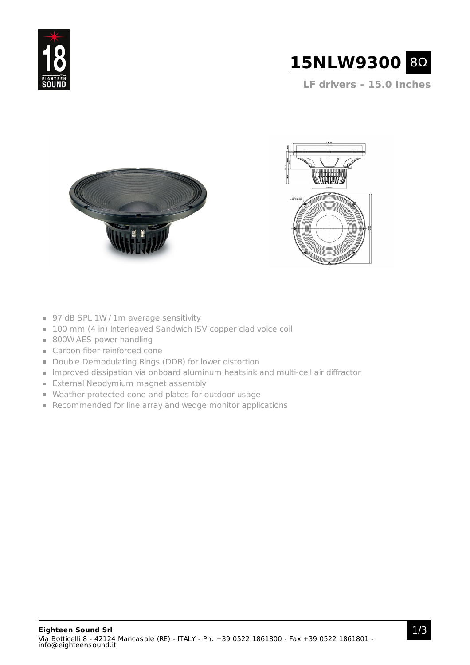



**LF drivers - 15.0 Inches**





- 97 dB SPL 1W / 1m average sensitivity
- 100 mm (4 in) Interleaved Sandwich ISV copper clad voice coil
- 800W AES power handling
- Carbon fiber reinforced cone
- Double Demodulating Rings (DDR) for lower distortion
- Improved dissipation via onboard aluminum heatsink and multi-cell air diffractor
- **External Neodymium magnet assembly**
- Weather protected cone and plates for outdoor usage
- Recommended for line array and wedge monitor applications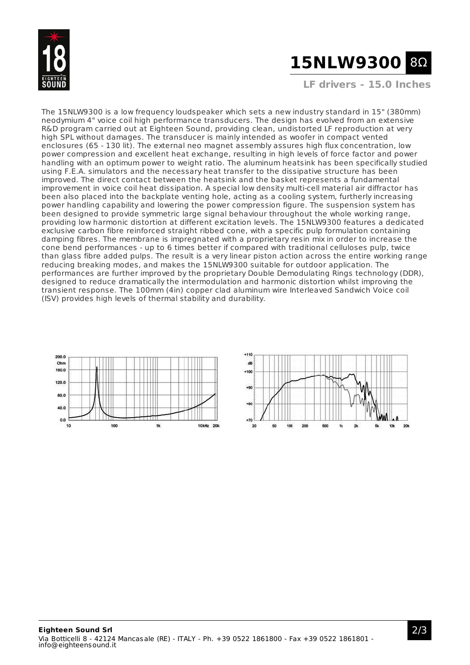

## **15NLW9300** 8Ω

**LF drivers - 15.0 Inches**

The 15NLW9300 is a low frequency loudspeaker which sets a new industry standard in 15" (380mm) neodymium 4" voice coil high performance transducers. The design has evolved from an extensive R&D program carried out at Eighteen Sound, providing clean, undistorted LF reproduction at very high SPL without damages. The transducer is mainly intended as woofer in compact vented enclosures (65 - 130 lit). The external neo magnet assembly assures high flux concentration, low power compression and excellent heat exchange, resulting in high levels of force factor and power handling with an optimum power to weight ratio. The aluminum heatsink has been specifically studied using F.E.A. simulators and the necessary heat transfer to the dissipative structure has been improved. The direct contact between the heatsink and the basket represents a fundamental improvement in voice coil heat dissipation. A special low density multi-cell material air diffractor has been also placed into the backplate venting hole, acting as a cooling system, furtherly increasing power handling capability and lowering the power compression figure. The suspension system has been designed to provide symmetric large signal behaviour throughout the whole working range, providing low harmonic distortion at different excitation levels. The 15NLW9300 features a dedicated exclusive carbon fibre reinforced straight ribbed cone, with a specific pulp formulation containing damping fibres. The membrane is impregnated with a proprietary resin mix in order to increase the cone bend performances - up to 6 times better if compared with traditional celluloses pulp, twice than glass fibre added pulps. The result is a very linear piston action across the entire working range reducing breaking modes, and makes the 15NLW9300 suitable for outdoor application. The performances are further improved by the proprietary Double Demodulating Rings technology (DDR), designed to reduce dramatically the intermodulation and harmonic distortion whilst improving the transient response. The 100mm (4in) copper clad aluminum wire Interleaved Sandwich Voice coil (ISV) provides high levels of thermal stability and durability.